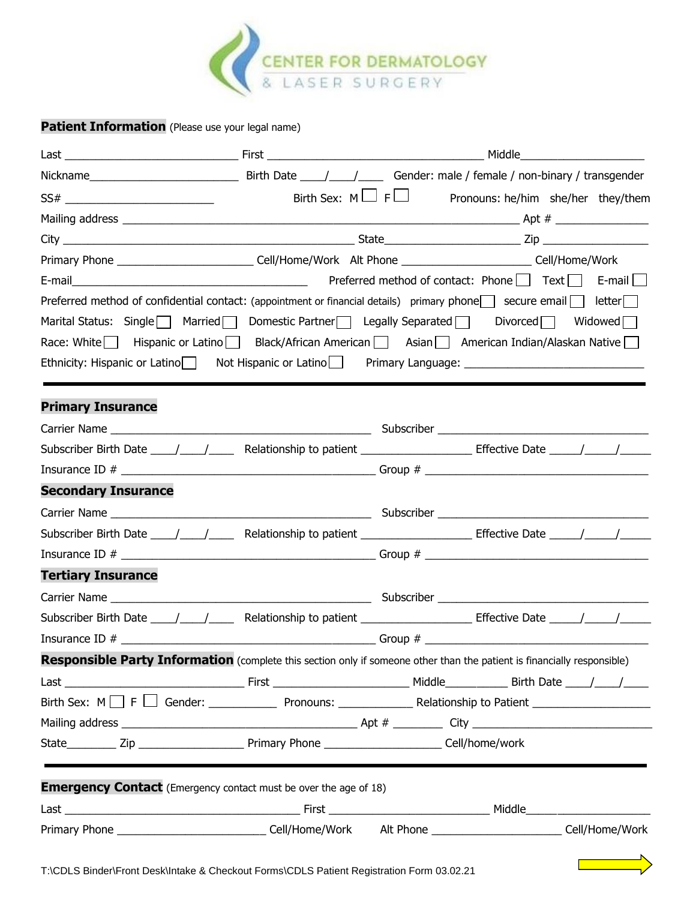

## **Patient Information** (Please use your legal name)

| Nickname <b>Mickname Mickname Mickname Mickname Mickname Mickname Mickname Mickname Mickname Mickname Mickname Mickname Mickname Mickname Mickname Mickname Mickname Mickname Mickname Mickname Mickname Mickname Mickname Mickn</b> |  |  |
|--------------------------------------------------------------------------------------------------------------------------------------------------------------------------------------------------------------------------------------|--|--|
|                                                                                                                                                                                                                                      |  |  |
|                                                                                                                                                                                                                                      |  |  |
|                                                                                                                                                                                                                                      |  |  |
| Primary Phone ______________________________Cell/Home/Work Alt Phone ____________________________Cell/Home/Work                                                                                                                      |  |  |
|                                                                                                                                                                                                                                      |  |  |
| Preferred method of confidential contact: (appointment or financial details) primary phone secure email letter                                                                                                                       |  |  |
| Marital Status: Single   Married   Domestic Partner   Legally Separated   Divorced   Widowed                                                                                                                                         |  |  |
| Race: White Hispanic or Latino Black/African American Blassian American Indian/Alaskan Native                                                                                                                                        |  |  |
| Ethnicity: Hispanic or Latino Not Hispanic or Latino Primary Language: 111 Million 2011 11: 2011                                                                                                                                     |  |  |
| <b>Primary Insurance</b>                                                                                                                                                                                                             |  |  |
|                                                                                                                                                                                                                                      |  |  |
|                                                                                                                                                                                                                                      |  |  |
|                                                                                                                                                                                                                                      |  |  |
| <b>Secondary Insurance</b>                                                                                                                                                                                                           |  |  |
|                                                                                                                                                                                                                                      |  |  |
|                                                                                                                                                                                                                                      |  |  |
|                                                                                                                                                                                                                                      |  |  |
| <b>Tertiary Insurance</b>                                                                                                                                                                                                            |  |  |
|                                                                                                                                                                                                                                      |  |  |
|                                                                                                                                                                                                                                      |  |  |
|                                                                                                                                                                                                                                      |  |  |
| Responsible Party Information (complete this section only if someone other than the patient is financially responsible)                                                                                                              |  |  |
|                                                                                                                                                                                                                                      |  |  |
|                                                                                                                                                                                                                                      |  |  |
|                                                                                                                                                                                                                                      |  |  |
|                                                                                                                                                                                                                                      |  |  |
| <b>Emergency Contact</b> (Emergency contact must be over the age of 18)                                                                                                                                                              |  |  |
|                                                                                                                                                                                                                                      |  |  |
|                                                                                                                                                                                                                                      |  |  |
| T:\CDLS Binder\Front Desk\Intake & Checkout Forms\CDLS Patient Pegistration Form 03.02.21                                                                                                                                            |  |  |